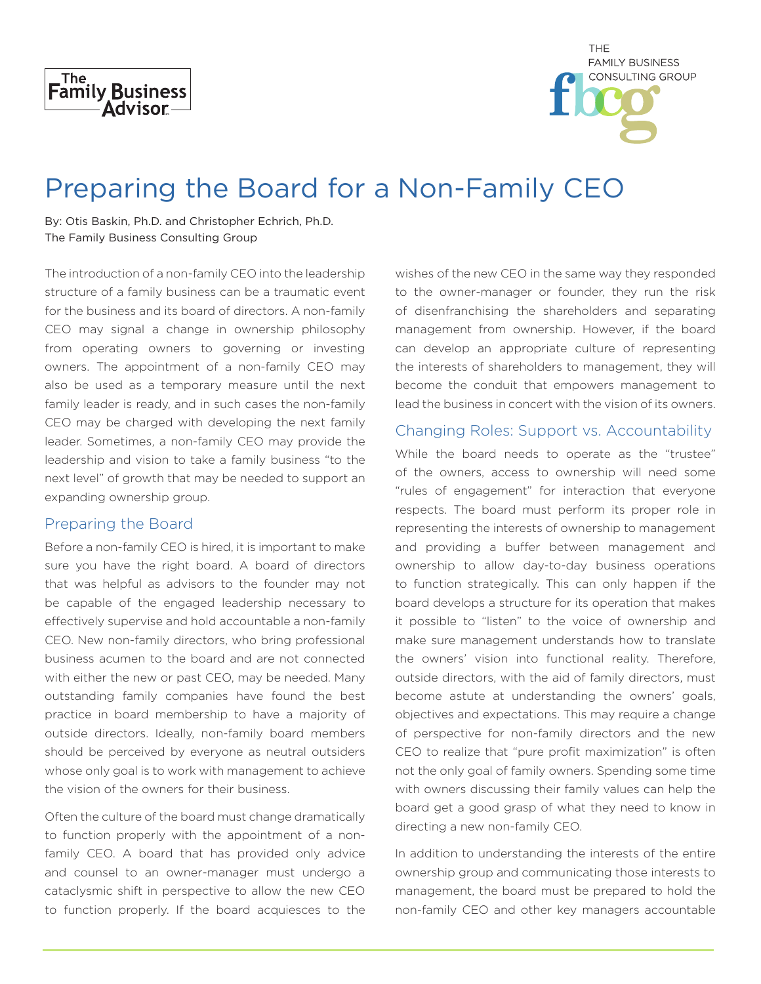

| THE                     |
|-------------------------|
| <b>FAMILY BUSINESS</b>  |
| <b>CONSULTING GROUP</b> |
|                         |
|                         |

# Preparing the Board for a Non-Family CEO

By: Otis Baskin, Ph.D. and Christopher Echrich, Ph.D. The Family Business Consulting Group

The introduction of a non-family CEO into the leadership structure of a family business can be a traumatic event for the business and its board of directors. A non-family CEO may signal a change in ownership philosophy from operating owners to governing or investing owners. The appointment of a non-family CEO may also be used as a temporary measure until the next family leader is ready, and in such cases the non-family CEO may be charged with developing the next family leader. Sometimes, a non-family CEO may provide the leadership and vision to take a family business "to the next level" of growth that may be needed to support an expanding ownership group.

#### Preparing the Board

Before a non-family CEO is hired, it is important to make sure you have the right board. A board of directors that was helpful as advisors to the founder may not be capable of the engaged leadership necessary to effectively supervise and hold accountable a non-family CEO. New non-family directors, who bring professional business acumen to the board and are not connected with either the new or past CEO, may be needed. Many outstanding family companies have found the best practice in board membership to have a majority of outside directors. Ideally, non-family board members should be perceived by everyone as neutral outsiders whose only goal is to work with management to achieve the vision of the owners for their business.

Often the culture of the board must change dramatically to function properly with the appointment of a nonfamily CEO. A board that has provided only advice and counsel to an owner-manager must undergo a cataclysmic shift in perspective to allow the new CEO to function properly. If the board acquiesces to the

wishes of the new CEO in the same way they responded to the owner-manager or founder, they run the risk of disenfranchising the shareholders and separating management from ownership. However, if the board can develop an appropriate culture of representing the interests of shareholders to management, they will become the conduit that empowers management to lead the business in concert with the vision of its owners.

## Changing Roles: Support vs. Accountability

While the board needs to operate as the "trustee" of the owners, access to ownership will need some "rules of engagement" for interaction that everyone respects. The board must perform its proper role in representing the interests of ownership to management and providing a buffer between management and ownership to allow day-to-day business operations to function strategically. This can only happen if the board develops a structure for its operation that makes it possible to "listen" to the voice of ownership and make sure management understands how to translate the owners' vision into functional reality. Therefore, outside directors, with the aid of family directors, must become astute at understanding the owners' goals, objectives and expectations. This may require a change of perspective for non-family directors and the new CEO to realize that "pure profit maximization" is often not the only goal of family owners. Spending some time with owners discussing their family values can help the board get a good grasp of what they need to know in directing a new non-family CEO.

In addition to understanding the interests of the entire ownership group and communicating those interests to management, the board must be prepared to hold the non-family CEO and other key managers accountable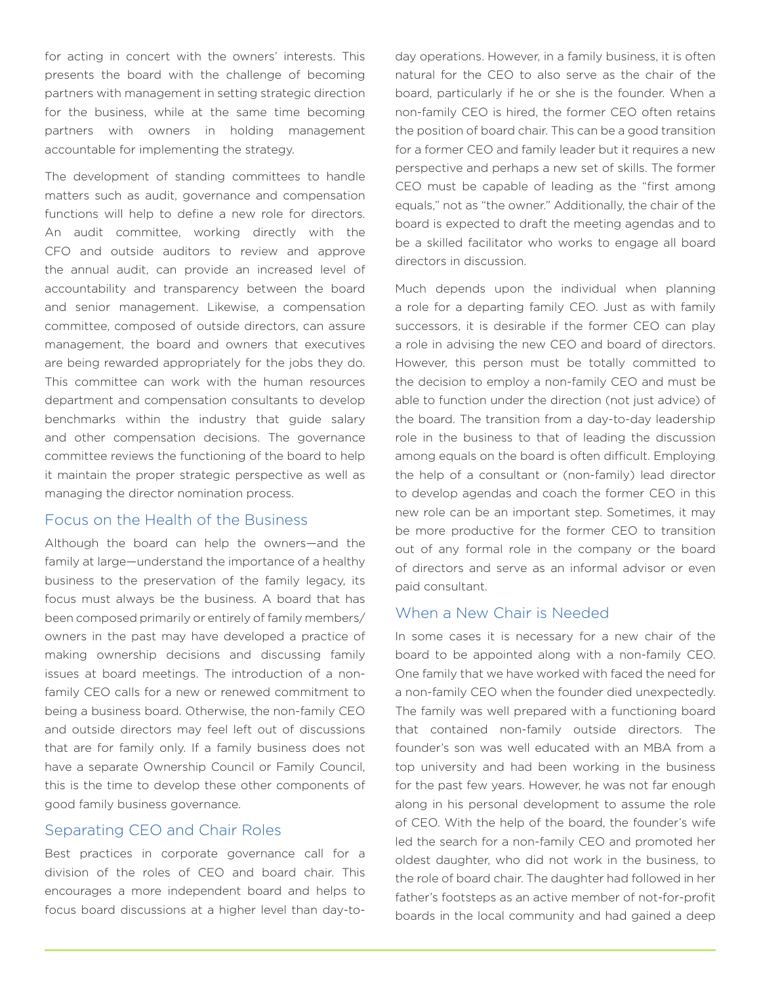for acting in concert with the owners' interests. This presents the board with the challenge of becoming partners with management in setting strategic direction for the business, while at the same time becoming partners with owners in holding management accountable for implementing the strategy.

The development of standing committees to handle matters such as audit, governance and compensation functions will help to define a new role for directors. An audit committee, working directly with the CFO and outside auditors to review and approve the annual audit, can provide an increased level of accountability and transparency between the board and senior management. Likewise, a compensation committee, composed of outside directors, can assure management, the board and owners that executives are being rewarded appropriately for the jobs they do. This committee can work with the human resources department and compensation consultants to develop benchmarks within the industry that guide salary and other compensation decisions. The governance committee reviews the functioning of the board to help it maintain the proper strategic perspective as well as managing the director nomination process.

# Focus on the Health of the Business

Although the board can help the owners—and the family at large—understand the importance of a healthy business to the preservation of the family legacy, its focus must always be the business. A board that has been composed primarily or entirely of family members/ owners in the past may have developed a practice of making ownership decisions and discussing family issues at board meetings. The introduction of a nonfamily CEO calls for a new or renewed commitment to being a business board. Otherwise, the non-family CEO and outside directors may feel left out of discussions that are for family only. If a family business does not have a separate Ownership Council or Family Council, this is the time to develop these other components of good family business governance.

#### Separating CEO and Chair Roles

Best practices in corporate governance call for a division of the roles of CEO and board chair. This encourages a more independent board and helps to focus board discussions at a higher level than day-today operations. However, in a family business, it is often natural for the CEO to also serve as the chair of the board, particularly if he or she is the founder. When a non-family CEO is hired, the former CEO often retains the position of board chair. This can be a good transition for a former CEO and family leader but it requires a new perspective and perhaps a new set of skills. The former CEO must be capable of leading as the "first among equals," not as "the owner." Additionally, the chair of the board is expected to draft the meeting agendas and to be a skilled facilitator who works to engage all board directors in discussion.

Much depends upon the individual when planning a role for a departing family CEO. Just as with family successors, it is desirable if the former CEO can play a role in advising the new CEO and board of directors. However, this person must be totally committed to the decision to employ a non-family CEO and must be able to function under the direction (not just advice) of the board. The transition from a day-to-day leadership role in the business to that of leading the discussion among equals on the board is often difficult. Employing the help of a consultant or (non-family) lead director to develop agendas and coach the former CEO in this new role can be an important step. Sometimes, it may be more productive for the former CEO to transition out of any formal role in the company or the board of directors and serve as an informal advisor or even paid consultant.

## When a New Chair is Needed

In some cases it is necessary for a new chair of the board to be appointed along with a non-family CEO. One family that we have worked with faced the need for a non-family CEO when the founder died unexpectedly. The family was well prepared with a functioning board that contained non-family outside directors. The founder's son was well educated with an MBA from a top university and had been working in the business for the past few years. However, he was not far enough along in his personal development to assume the role of CEO. With the help of the board, the founder's wife led the search for a non-family CEO and promoted her oldest daughter, who did not work in the business, to the role of board chair. The daughter had followed in her father's footsteps as an active member of not-for-profit boards in the local community and had gained a deep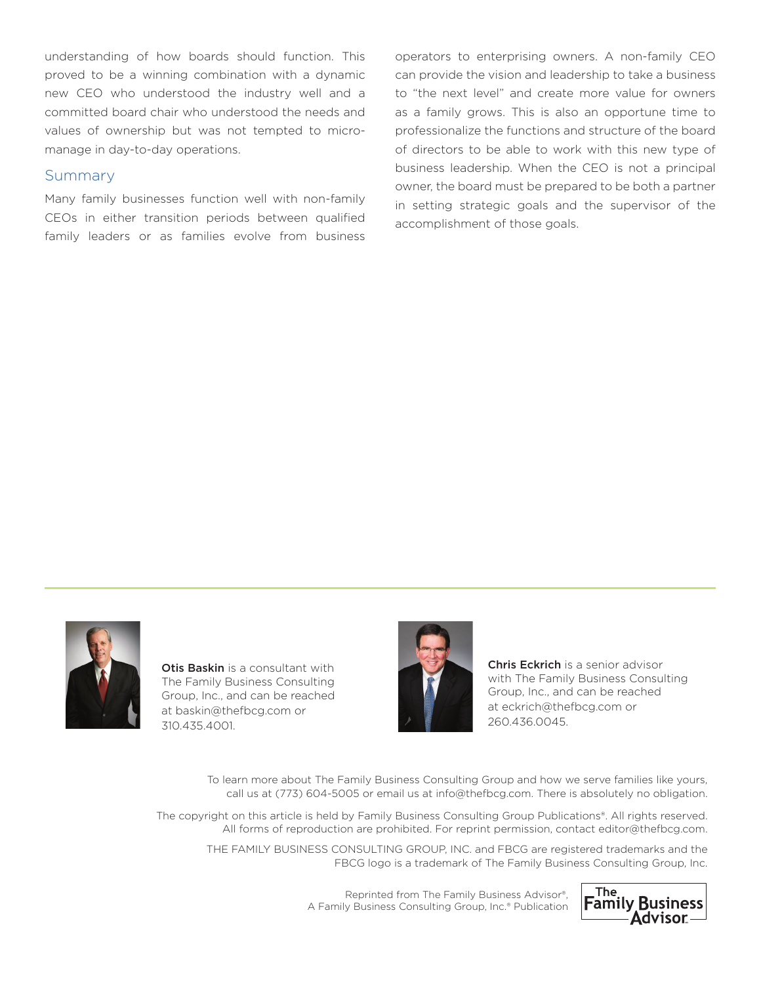understanding of how boards should function. This proved to be a winning combination with a dynamic new CEO who understood the industry well and a committed board chair who understood the needs and values of ownership but was not tempted to micromanage in day-to-day operations.

### Summary

Many family businesses function well with non-family CEOs in either transition periods between qualified family leaders or as families evolve from business operators to enterprising owners. A non-family CEO can provide the vision and leadership to take a business to "the next level" and create more value for owners as a family grows. This is also an opportune time to professionalize the functions and structure of the board of directors to be able to work with this new type of business leadership. When the CEO is not a principal owner, the board must be prepared to be both a partner in setting strategic goals and the supervisor of the accomplishment of those goals.



Otis Baskin is a consultant with The Family Business Consulting Group, Inc., and can be reached at baskin@thefbcg.com or 310.435.4001.



Chris Eckrich is a senior advisor with The Family Business Consulting Group, Inc., and can be reached at eckrich@thefbcg.com or 260.436.0045.

To learn more about The Family Business Consulting Group and how we serve families like yours, call us at (773) 604-5005 or email us at info@thefbcg.com. There is absolutely no obligation.

The copyright on this article is held by Family Business Consulting Group Publications®. All rights reserved. All forms of reproduction are prohibited. For reprint permission, contact editor@thefbcg.com.

THE FAMILY BUSINESS CONSULTING GROUP, INC. and FBCG are registered trademarks and the FBCG logo is a trademark of The Family Business Consulting Group, Inc.

> Reprinted from The Family Business Advisor®, A Family Business Consulting Group, Inc.® Publication